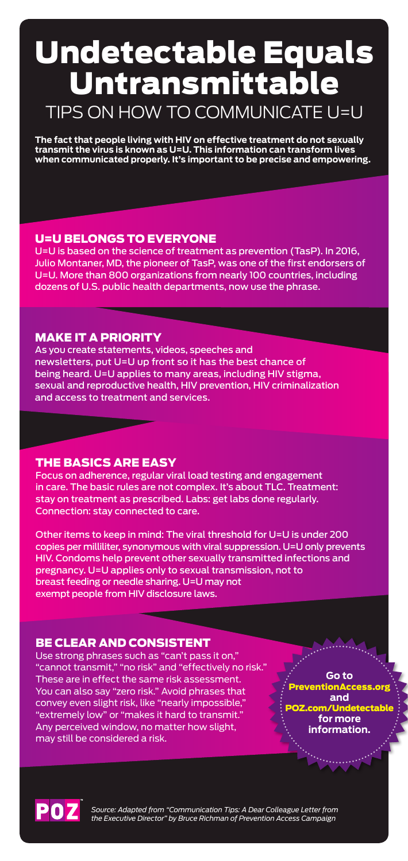**The fact that people living with HIV on effective treatment do not sexually transmit the virus is known as U=U. This information can transform lives when communicated properly. It's important to be precise and empowering.**

## Undetectable Equals Untransmittable TIPS ON HOW TO COMMUNICATE U=U

*Source: Adapted from "Communication Tips: A Dear Colleague Letter from the Executive Director" by Bruce Richman of Prevention Access Campaign*

### BE CLEAR AND CONSISTENT

Use strong phrases such as "can't pass it on," "cannot transmit," "no risk" and "effectively no risk." These are in effect the same risk assessment. You can also say "zero risk." Avoid phrases that convey even slight risk, like "nearly impossible," "extremely low" or "makes it hard to transmit." Any perceived window, no matter how slight, may still be considered a risk.

### THE BASICS ARE EASY

Focus on adherence, regular viral load testing and engagement

in care. The basic rules are not complex. It's about TLC. Treatment: stay on treatment as prescribed. Labs: get labs done regularly. Connection: stay connected to care.

Other items to keep in mind: The viral threshold for U=U is under 200 copies per milliliter, synonymous with viral suppression. U=U only prevents HIV. Condoms help prevent other sexually transmitted infections and pregnancy. U=U applies only to sexual transmission, not to breast feeding or needle sharing. U=U may not exempt people from HIV disclosure laws.

> **Go to**  PreventionAccess.org **and**  POZ.com/Undetectable **for more information.**



### MAKE IT A PRIORITY

As you create statements, videos, speeches and newsletters, put U=U up front so it has the best chance of being heard. U=U applies to many areas, including HIV stigma, sexual and reproductive health, HIV prevention, HIV criminalization and access to treatment and services.

### U=U BELONGS TO EVERYONE

U=U is based on the science of treatment as prevention (TasP). In 2016, Julio Montaner, MD, the pioneer of TasP, was one of the first endorsers of U=U. More than 800 organizations from nearly 100 countries, including dozens of U.S. public health departments, now use the phrase.